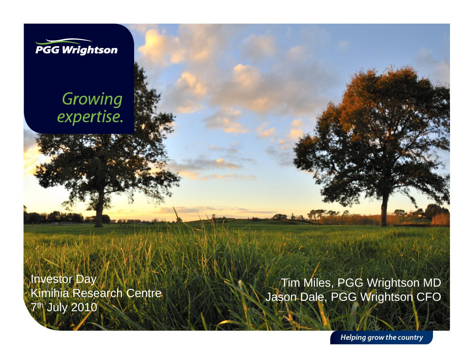

### Growing expertise.

Investor Day Kimihia Research Centre 7<sup>th</sup> July 2010

Tim Miles, PGG Wrightson MD Jason Dale, PGG Wrightson CFO

**Helping grow the country**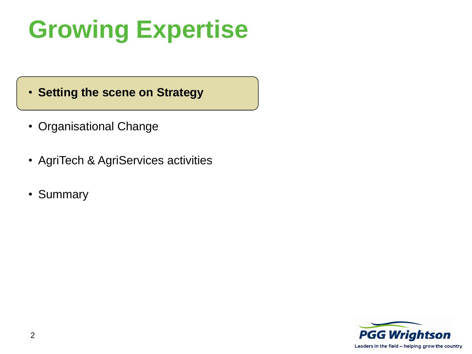# **Growing Expertise**

• **Setting the scene on Strategy**

- Organisational Change
- AgriTech & AgriServices activities
- Summary

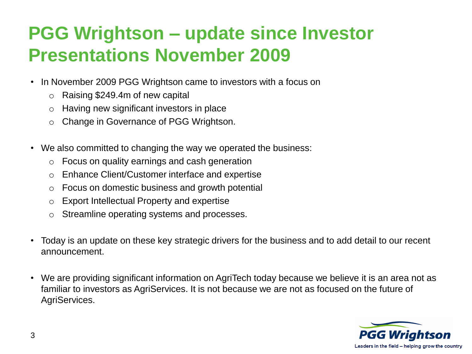### **PGG Wrightson – update since Investor Presentations November 2009**

- In November 2009 PGG Wrightson came to investors with a focus on
	- o Raising \$249.4m of new capital
	- o Having new significant investors in place
	- o Change in Governance of PGG Wrightson.
- We also committed to changing the way we operated the business:
	- o Focus on quality earnings and cash generation
	- o Enhance Client/Customer interface and expertise
	- o Focus on domestic business and growth potential
	- o Export Intellectual Property and expertise
	- o Streamline operating systems and processes.
- Today is an update on these key strategic drivers for the business and to add detail to our recent announcement.
- We are providing significant information on AgriTech today because we believe it is an area not as familiar to investors as AgriServices. It is not because we are not as focused on the future of AgriServices.

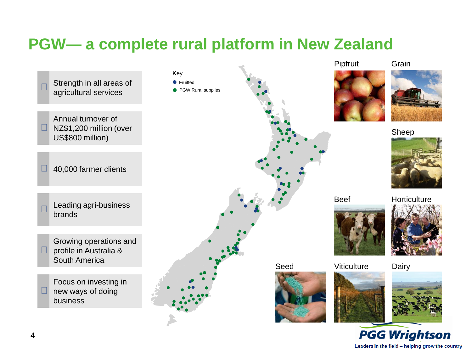### **PGW— a complete rural platform in New Zealand**

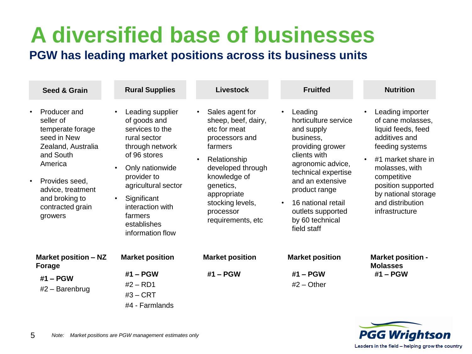## **A diversified base of businesses**

#### **PGW has leading market positions across its business units**

| <b>Seed &amp; Grain</b>                                                                                                                                                                                                      | <b>Rural Supplies</b>                                                                                                                                                                                                                                                      | <b>Livestock</b>                                                                                                                                                                                                                        | <b>Fruitfed</b>                                                                                                                                                                                                                                                           | <b>Nutrition</b>                                                                                                                                                                                                                                                    |
|------------------------------------------------------------------------------------------------------------------------------------------------------------------------------------------------------------------------------|----------------------------------------------------------------------------------------------------------------------------------------------------------------------------------------------------------------------------------------------------------------------------|-----------------------------------------------------------------------------------------------------------------------------------------------------------------------------------------------------------------------------------------|---------------------------------------------------------------------------------------------------------------------------------------------------------------------------------------------------------------------------------------------------------------------------|---------------------------------------------------------------------------------------------------------------------------------------------------------------------------------------------------------------------------------------------------------------------|
| Producer and<br>$\bullet$<br>seller of<br>temperate forage<br>seed in New<br>Zealand, Australia<br>and South<br>America<br>Provides seed,<br>$\bullet$<br>advice, treatment<br>and broking to<br>contracted grain<br>growers | Leading supplier<br>of goods and<br>services to the<br>rural sector<br>through network<br>of 96 stores<br>Only nationwide<br>$\bullet$<br>provider to<br>agricultural sector<br>Significant<br>$\bullet$<br>interaction with<br>farmers<br>establishes<br>information flow | Sales agent for<br>$\bullet$<br>sheep, beef, dairy,<br>etc for meat<br>processors and<br>farmers<br>Relationship<br>developed through<br>knowledge of<br>genetics,<br>appropriate<br>stocking levels,<br>processor<br>requirements, etc | Leading<br>horticulture service<br>and supply<br>business,<br>providing grower<br>clients with<br>agronomic advice,<br>technical expertise<br>and an extensive<br>product range<br>16 national retail<br>$\bullet$<br>outlets supported<br>by 60 technical<br>field staff | Leading importer<br>$\bullet$<br>of cane molasses,<br>liquid feeds, feed<br>additives and<br>feeding systems<br>#1 market share in<br>$\bullet$<br>molasses, with<br>competitive<br>position supported<br>by national storage<br>and distribution<br>infrastructure |
| Market position - NZ<br>Forage<br>#1 – PGW<br>$#2$ – Barenbrug                                                                                                                                                               | <b>Market position</b><br>$#1 - PGW$<br>$#2 - RD1$<br>$#3 - CRT$<br>#4 - Farmlands                                                                                                                                                                                         | <b>Market position</b><br>$#1 - PGW$                                                                                                                                                                                                    | <b>Market position</b><br>$#1 - PGW$<br>$#2 - Other$                                                                                                                                                                                                                      | <b>Market position -</b><br><b>Molasses</b><br>#1 - PGW                                                                                                                                                                                                             |

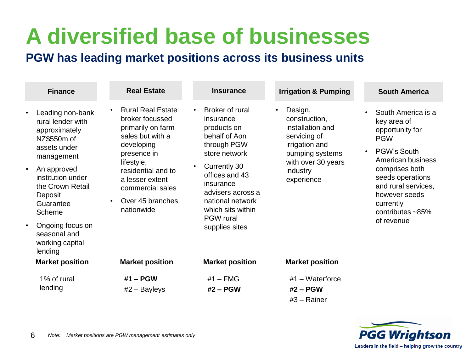## **A diversified base of businesses**

#### **PGW has leading market positions across its business units**

| <b>Finance</b>                                                                                                                                                                                                                                                                              | <b>Real Estate</b>                                                                                                                                                                                                                                       | <b>Insurance</b>                                                                                                                                                                                                                                                          | <b>Irrigation &amp; Pumping</b>                                                                                                                   | <b>South America</b>                                                                                                                                                                                                                   |
|---------------------------------------------------------------------------------------------------------------------------------------------------------------------------------------------------------------------------------------------------------------------------------------------|----------------------------------------------------------------------------------------------------------------------------------------------------------------------------------------------------------------------------------------------------------|---------------------------------------------------------------------------------------------------------------------------------------------------------------------------------------------------------------------------------------------------------------------------|---------------------------------------------------------------------------------------------------------------------------------------------------|----------------------------------------------------------------------------------------------------------------------------------------------------------------------------------------------------------------------------------------|
| Leading non-bank<br>$\bullet$<br>rural lender with<br>approximately<br>NZ\$550m of<br>assets under<br>management<br>An approved<br>$\bullet$<br>institution under<br>the Crown Retail<br>Deposit<br>Guarantee<br>Scheme<br>Ongoing focus on<br>$\bullet$<br>seasonal and<br>working capital | <b>Rural Real Estate</b><br>$\bullet$<br>broker focussed<br>primarily on farm<br>sales but with a<br>developing<br>presence in<br>lifestyle,<br>residential and to<br>a lesser extent<br>commercial sales<br>Over 45 branches<br>$\bullet$<br>nationwide | Broker of rural<br>$\bullet$<br>insurance<br>products on<br>behalf of Aon<br>through PGW<br>store network<br>Currently 30<br>$\bullet$<br>offices and 43<br>insurance<br>advisers across a<br>national network<br>which sits within<br><b>PGW</b> rural<br>supplies sites | Design,<br>construction,<br>installation and<br>servicing of<br>irrigation and<br>pumping systems<br>with over 30 years<br>industry<br>experience | South America is a<br>key area of<br>opportunity for<br><b>PGW</b><br>PGW's South<br>American business<br>comprises both<br>seeds operations<br>and rural services,<br>however seeds<br>currently<br>contributes $~185%$<br>of revenue |
| lending                                                                                                                                                                                                                                                                                     |                                                                                                                                                                                                                                                          |                                                                                                                                                                                                                                                                           |                                                                                                                                                   |                                                                                                                                                                                                                                        |
| <b>Market position</b>                                                                                                                                                                                                                                                                      | <b>Market position</b>                                                                                                                                                                                                                                   | <b>Market position</b>                                                                                                                                                                                                                                                    | <b>Market position</b>                                                                                                                            |                                                                                                                                                                                                                                        |
| 1% of rural<br>lending                                                                                                                                                                                                                                                                      | #1 - PGW<br>$#2 - Bayleys$                                                                                                                                                                                                                               | $#1$ – FMG<br>#2 - PGW                                                                                                                                                                                                                                                    | #1 $-$ Waterforce<br>#2 – PGW<br>$#3 -$ Rainer                                                                                                    |                                                                                                                                                                                                                                        |

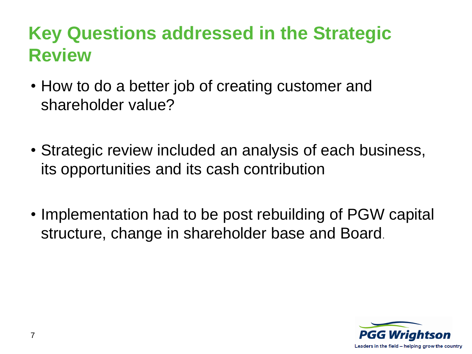### **Key Questions addressed in the Strategic Review**

- How to do a better job of creating customer and shareholder value?
- Strategic review included an analysis of each business, its opportunities and its cash contribution
- Implementation had to be post rebuilding of PGW capital structure, change in shareholder base and Board.

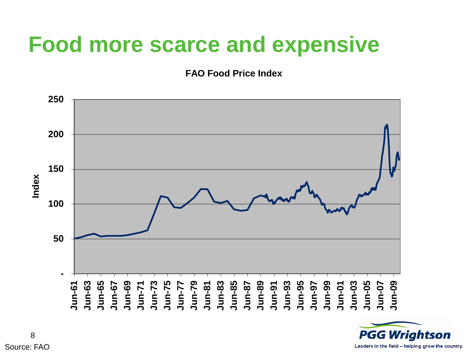## **Food more scarce and expensive**

**FAO Food Price Index**



**PGG Wrightson** Leaders in the field - helping grow the country

Source: FAO 8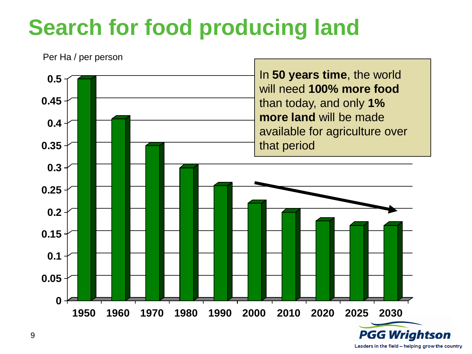## **Search for food producing land**



Leaders in the field - helping grow the country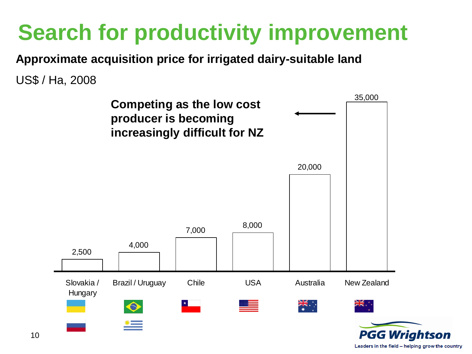## **Search for productivity improvement**

**Approximate acquisition price for irrigated dairy-suitable land**

US\$ / Ha, 2008



Leaders in the field - helping grow the country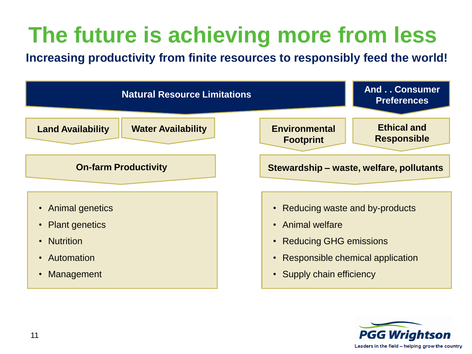# **The future is achieving more from less**

**Increasing productivity from finite resources to responsibly feed the world!**



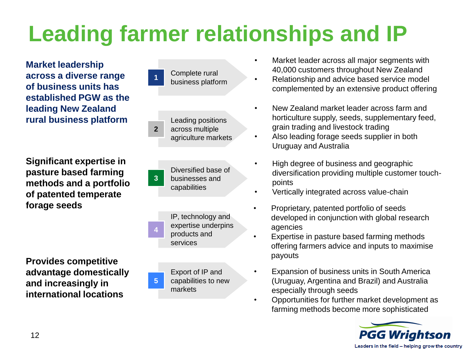# **Leading farmer relationships and IP**

**Market leadership across a diverse range of business units has established PGW as the leading New Zealand rural business platform**

**Significant expertise in pasture based farming methods and a portfolio of patented temperate forage seeds**

**Provides competitive advantage domestically and increasingly in international locations**



- Market leader across all major segments with 40,000 customers throughout New Zealand
- Relationship and advice based service model complemented by an extensive product offering
- New Zealand market leader across farm and horticulture supply, seeds, supplementary feed, grain trading and livestock trading
- Also leading forage seeds supplier in both Uruguay and Australia
- High degree of business and geographic diversification providing multiple customer touchpoints
- Vertically integrated across value-chain
- Proprietary, patented portfolio of seeds developed in conjunction with global research agencies
- Expertise in pasture based farming methods offering farmers advice and inputs to maximise payouts
- Expansion of business units in South America (Uruguay, Argentina and Brazil) and Australia especially through seeds
- Opportunities for further market development as farming methods become more sophisticated

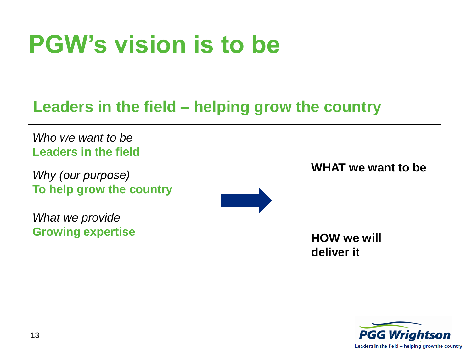# **PGW's vision is to be**

### **Leaders in the field – helping grow the country**

*Who we want to be* **Leaders in the field**

*Why (our purpose)* **To help grow the country**

*What we provide* **Growing expertise**



**WHAT we want to be**

**HOW we will deliver it**

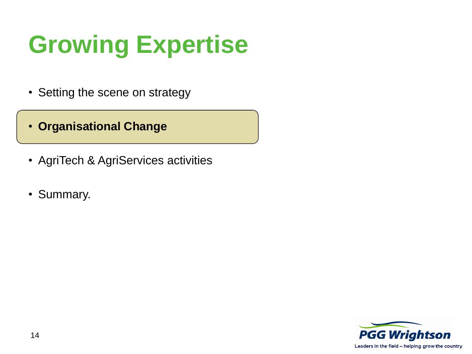# **Growing Expertise**

- Setting the scene on strategy
- **Organisational Change**
- AgriTech & AgriServices activities
- Summary.

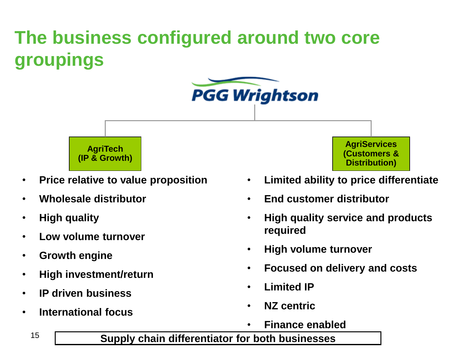## **The business configured around two core groupings**





- **Price relative to value proposition**
- **Wholesale distributor**
- **High quality**
- **Low volume turnover**
- **Growth engine**
- **High investment/return**
- **IP driven business**
- **International focus**

**AgriServices (Customers & Distribution)**

- **Limited ability to price differentiate**
- **End customer distributor**
- **High quality service and products required**
- **High volume turnover**
- **Focused on delivery and costs**
- **Limited IP**
- **NZ centric**
- **Finance enabled**

#### **Supply chain differentiator for both businesses**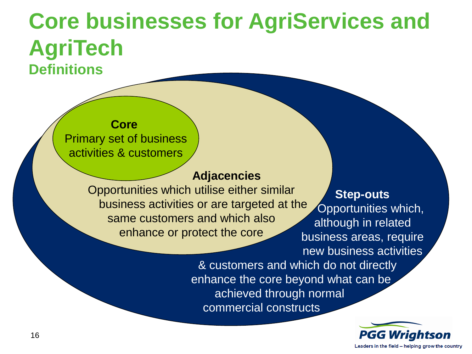## **Core businesses for AgriServices and AgriTech Definitions**

#### **Core**  Primary set of business activities & customers

#### **Adjacencies**

Opportunities which utilise either similar business activities or are targeted at the same customers and which also enhance or protect the core

#### **Step-outs** Opportunities which, although in related business areas, require

new business activities

& customers and which do not directly enhance the core beyond what can be achieved through normal commercial constructs

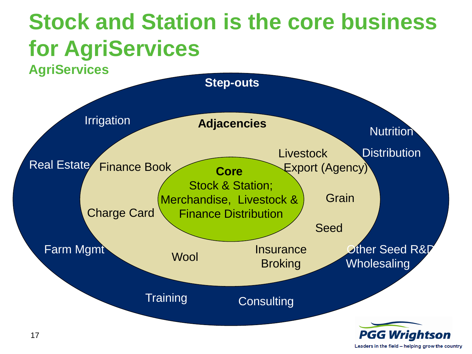## **Stock and Station is the core business for AgriServices**

**AgriServices**



Leaders in the field - helping grow the country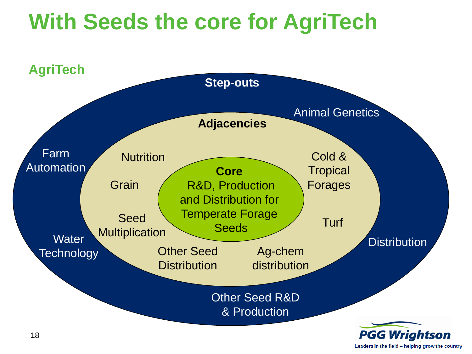## **With Seeds the core for AgriTech**



Leaders in the field - helping grow the country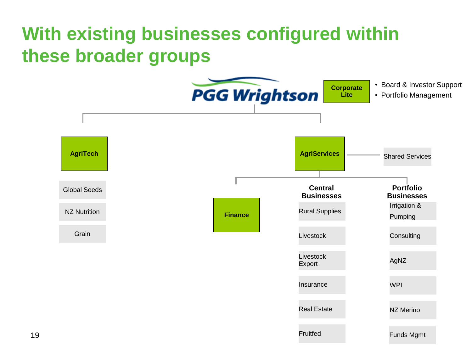## **With existing businesses configured within these broader groups**

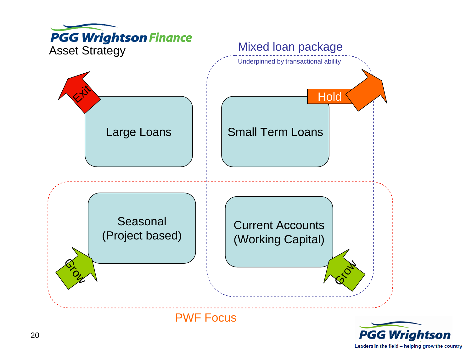

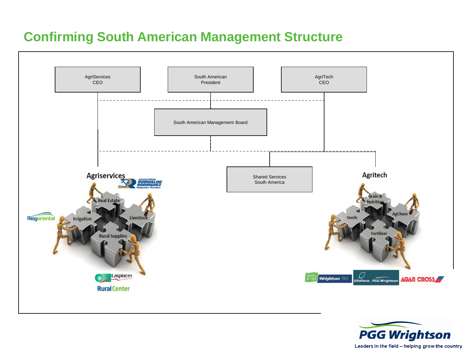#### **Confirming South American Management Structure**



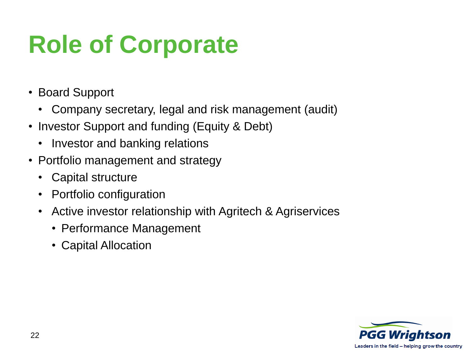# **Role of Corporate**

- Board Support
	- Company secretary, legal and risk management (audit)
- Investor Support and funding (Equity & Debt)
	- Investor and banking relations
- Portfolio management and strategy
	- Capital structure
	- Portfolio configuration
	- Active investor relationship with Agritech & Agriservices
		- Performance Management
		- Capital Allocation

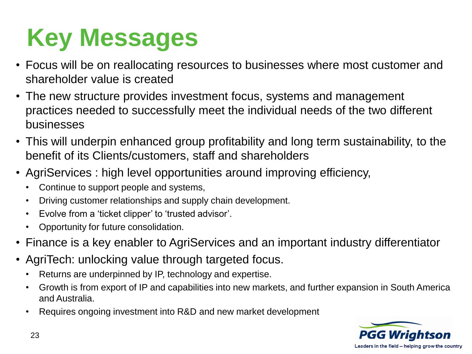# **Key Messages**

- Focus will be on reallocating resources to businesses where most customer and shareholder value is created
- The new structure provides investment focus, systems and management practices needed to successfully meet the individual needs of the two different businesses
- This will underpin enhanced group profitability and long term sustainability, to the benefit of its Clients/customers, staff and shareholders
- AgriServices : high level opportunities around improving efficiency,
	- Continue to support people and systems,
	- Driving customer relationships and supply chain development.
	- Evolve from a 'ticket clipper' to 'trusted advisor'.
	- Opportunity for future consolidation.
- Finance is a key enabler to AgriServices and an important industry differentiator
- AgriTech: unlocking value through targeted focus.
	- Returns are underpinned by IP, technology and expertise.
	- Growth is from export of IP and capabilities into new markets, and further expansion in South America and Australia.
	- Requires ongoing investment into R&D and new market development

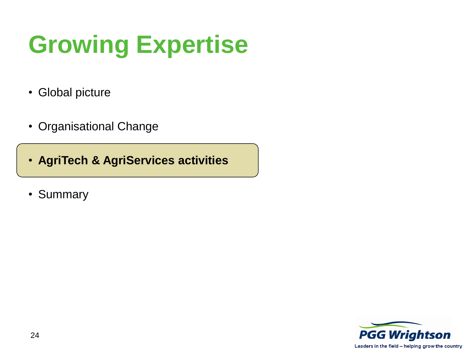# **Growing Expertise**

- Global picture
- Organisational Change
- **AgriTech & AgriServices activities**
- Summary

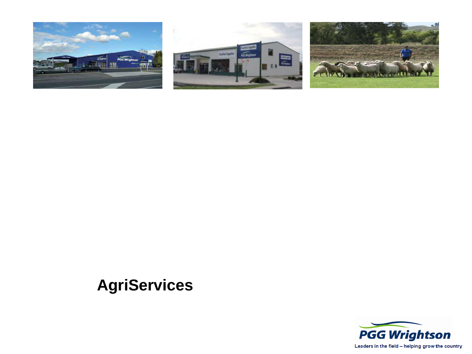





### **AgriServices**

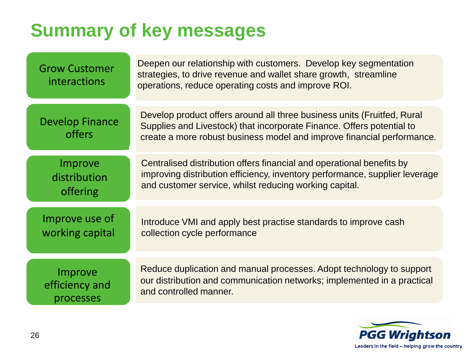## **Summary of key messages**

| <b>Grow Customer</b><br><i>interactions</i> | Deepen our relationship with customers. Develop key segmentation<br>strategies, to drive revenue and wallet share growth, streamline<br>operations, reduce operating costs and improve ROI.                                |
|---------------------------------------------|----------------------------------------------------------------------------------------------------------------------------------------------------------------------------------------------------------------------------|
| <b>Develop Finance</b><br>offers            | Develop product offers around all three business units (Fruitfed, Rural<br>Supplies and Livestock) that incorporate Finance. Offers potential to<br>create a more robust business model and improve financial performance. |
| Improve                                     | Centralised distribution offers financial and operational benefits by                                                                                                                                                      |
| distribution                                | improving distribution efficiency, inventory performance, supplier leverage                                                                                                                                                |
| offering                                    | and customer service, whilst reducing working capital.                                                                                                                                                                     |
| Improve use of                              | Introduce VMI and apply best practise standards to improve cash                                                                                                                                                            |
| working capital                             | collection cycle performance                                                                                                                                                                                               |
| Improve                                     | Reduce duplication and manual processes. Adopt technology to support                                                                                                                                                       |
| efficiency and                              | our distribution and communication networks; implemented in a practical                                                                                                                                                    |
| processes                                   | and controlled manner.                                                                                                                                                                                                     |

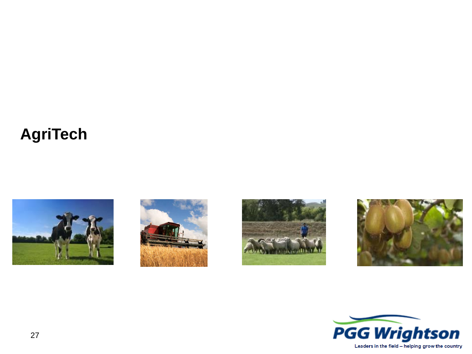### **AgriTech**









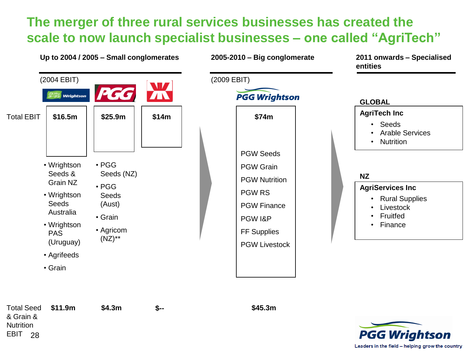#### **The merger of three rural services businesses has created the**  scale to now launch specialist businesses – one called "AgriTech"



Total Seed **\$11.9m** & Grain & **Nutrition** EBIT 28

**\$4.3m**

**\$-- \$45.3m**

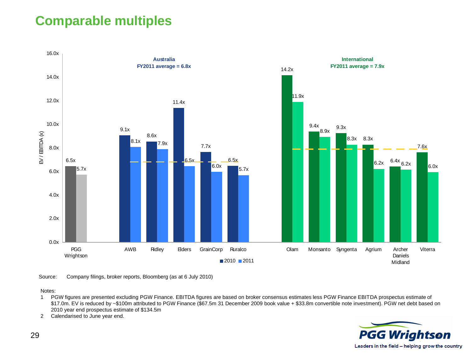#### **Comparable multiples**



Source: Company filings, broker reports, Bloomberg (as at 6 July 2010)

Notes:

- 1 PGW figures are presented excluding PGW Finance. EBITDA figures are based on broker consensus estimates less PGW Finance EBITDA prospectus estimate of \$17.0m. EV is reduced by ~\$100m attributed to PGW Finance (\$67.5m 31 December 2009 book value + \$33.8m convertible note investment). PGW net debt based on 2010 year end prospectus estimate of \$134.5m
- 2 Calendarised to June year end.

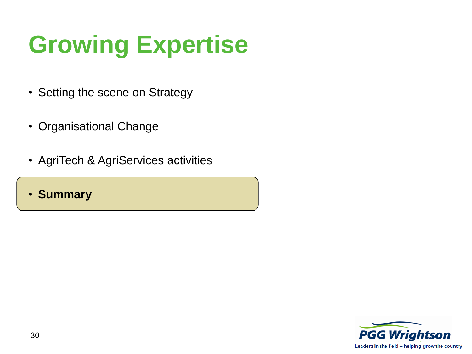# **Growing Expertise**

- Setting the scene on Strategy
- Organisational Change
- AgriTech & AgriServices activities
- **Summary**

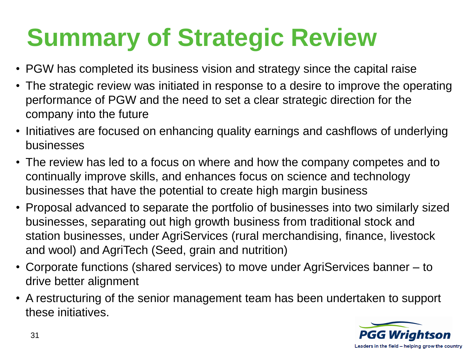# **Summary of Strategic Review**

- PGW has completed its business vision and strategy since the capital raise
- The strategic review was initiated in response to a desire to improve the operating performance of PGW and the need to set a clear strategic direction for the company into the future
- Initiatives are focused on enhancing quality earnings and cashflows of underlying businesses
- The review has led to a focus on where and how the company competes and to continually improve skills, and enhances focus on science and technology businesses that have the potential to create high margin business
- Proposal advanced to separate the portfolio of businesses into two similarly sized businesses, separating out high growth business from traditional stock and station businesses, under AgriServices (rural merchandising, finance, livestock and wool) and AgriTech (Seed, grain and nutrition)
- Corporate functions (shared services) to move under AgriServices banner to drive better alignment
- A restructuring of the senior management team has been undertaken to support these initiatives.